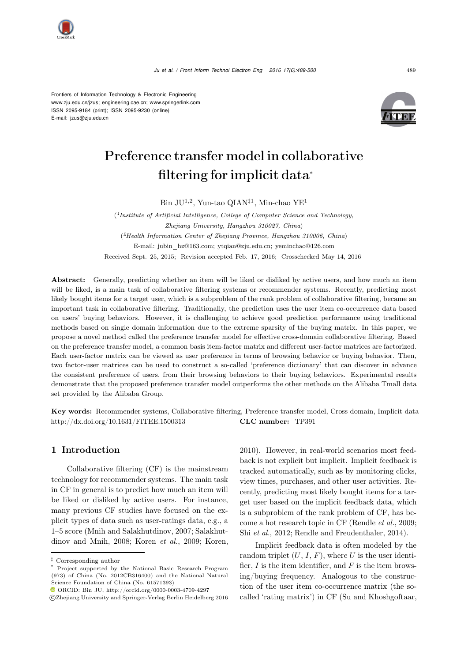

Frontiers of Information Technology & Electronic Engineering www.zju.edu.cn/jzus; engineering.cae.cn; www.springerlink.com ISSN 2095-9184 (print); ISSN 2095-9230 (online) E-mail: jzus@zju.edu.cn



# Preference transfer model in collaborative filtering for implicit data<sup>∗</sup>

Bin JU1,2, Yun-tao QIAN‡<sup>1</sup>, Min-chao YE<sup>1</sup>

(*1Institute of Artificial Intelligence, College of Computer Science and Technology, Zhejiang University, Hangzhou 310027, China*) (*2Health Information Center of Zhejiang Province, Hangzhou 310006, China*) E-mail: jubin\_hz@163.com; ytqian@zju.edu.cn; yeminchao@126.com Received Sept. 25, 2015; Revision accepted Feb. 17, 2016; Crosschecked May 14, 2016

Abstract: Generally, predicting whether an item will be liked or disliked by active users, and how much an item will be liked, is a main task of collaborative filtering systems or recommender systems. Recently, predicting most likely bought items for a target user, which is a subproblem of the rank problem of collaborative filtering, became an important task in collaborative filtering. Traditionally, the prediction uses the user item co-occurrence data based on users' buying behaviors. However, it is challenging to achieve good prediction performance using traditional methods based on single domain information due to the extreme sparsity of the buying matrix. In this paper, we propose a novel method called the preference transfer model for effective cross-domain collaborative filtering. Based on the preference transfer model, a common basis item-factor matrix and different user-factor matrices are factorized. Each user-factor matrix can be viewed as user preference in terms of browsing behavior or buying behavior. Then, two factor-user matrices can be used to construct a so-called 'preference dictionary' that can discover in advance the consistent preference of users, from their browsing behaviors to their buying behaviors. Experimental results demonstrate that the proposed preference transfer model outperforms the other methods on the Alibaba Tmall data set provided by the Alibaba Group.

Key words: Recommender systems, Collaborative filtering, Preference transfer model, Cross domain, Implicit data http://dx.doi.org/10.1631/FITEE.1500313 CLC number: TP391

## 1 Introduction

Collaborative filtering (CF) is the mainstream technology for recommender systems. The main task in CF in general is to predict how much an item will be liked or disliked by active users. For instance, many previous CF studies have focused on the explicit types of data such as user-ratings data, e.g., a 1–5 score [\(Mnih and Salakhutdinov](#page-9-0)[,](#page-9-1) [2007](#page-9-0)[;](#page-9-1) Salakhutdinov and Mnih, [2008;](#page-9-1) [Koren](#page-9-2) *et al.*, [2009;](#page-9-2) [Koren,](#page-9-3) [2010](#page-9-3)). However, in real-world scenarios most feedback is not explicit but implicit. Implicit feedback is tracked automatically, such as by monitoring clicks, view times, purchases, and other user activities. Recently, predicting most likely bought items for a target user based on the implicit feedback data, which is a subproblem of the rank problem of CF, has become a hot research topic in CF [\(Rendle](#page-9-4) *et al.*, [2009;](#page-9-4) Shi *[et al.](#page-9-5)*, [2012](#page-9-5); [Rendle and Freudenthaler](#page-9-6), [2014](#page-9-6)).

Implicit feedback data is often modeled by the random triplet  $(U, I, F)$ , where U is the user identifier,  $I$  is the item identifier, and  $F$  is the item browsing/buying frequency. Analogous to the construction of the user item co-occurrence matrix (the socalled 'rating matrix') in CF (Su and Khoshgoftaar,

*<sup>‡</sup>* Corresponding author

Project supported by the National Basic Research Program (973) of China (No. 2012CB316400) and the National Natural Science Foundation of China (No. 61571393)

ORCID: Bin JU, http://orcid.org/0000-0003-4709-4297

c Zhejiang University and Springer-Verlag Berlin Heidelberg 2016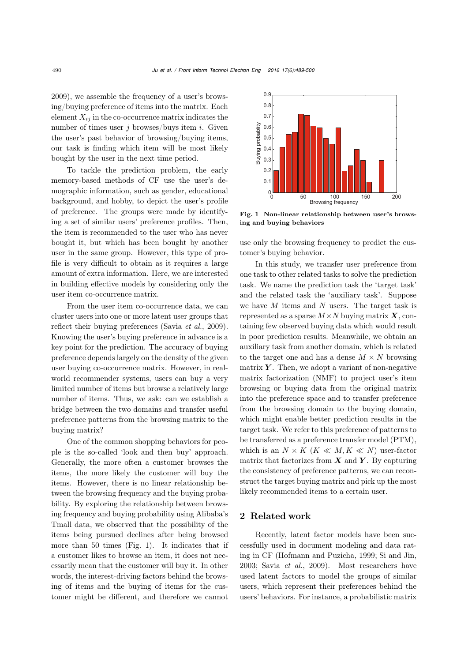2009), we assemble the frequency of a user's browsing/buying preference of items into the matrix. Each element  $X_{ij}$  in the co-occurrence matrix indicates the number of times user  $j$  browses/buys item  $i$ . Given the user's past behavior of browsing/buying items, our task is finding which item will be most likely bought by the user in the next time period.

To tackle the prediction problem, the early memory-based methods of CF use the user's demographic information, such as gender, educational background, and hobby, to depict the user's profile of preference. The groups were made by identifying a set of similar users' preference profiles. Then, the item is recommended to the user who has never bought it, but which has been bought by another user in the same group. However, this type of profile is very difficult to obtain as it requires a large amount of extra information. Here, we are interested in building effective models by considering only the user item co-occurrence matrix.

From the user item co-occurrence data, we can cluster users into one or more latent user groups that reflect their buying preferences [\(Savia](#page-9-7) *et al.*, [2009\)](#page-9-7). Knowing the user's buying preference in advance is a key point for the prediction. The accuracy of buying preference depends largely on the density of the given user buying co-occurrence matrix. However, in realworld recommender systems, users can buy a very limited number of items but browse a relatively large number of items. Thus, we ask: can we establish a bridge between the two domains and transfer useful preference patterns from the browsing matrix to the buying matrix?

One of the common shopping behaviors for people is the so-called 'look and then buy' approach. Generally, the more often a customer browses the items, the more likely the customer will buy the items. However, there is no linear relationship between the browsing frequency and the buying probability. By exploring the relationship between browsing frequency and buying probability using Alibaba's Tmall data, we observed that the possibility of the items being pursued declines after being browsed more than 50 times (Fig. [1\)](#page-1-0). It indicates that if a customer likes to browse an item, it does not necessarily mean that the customer will buy it. In other words, the interest-driving factors behind the browsing of items and the buying of items for the customer might be different, and therefore we cannot



<span id="page-1-0"></span>Fig. 1 Non-linear relationship between user's browsing and buying behaviors

use only the browsing frequency to predict the customer's buying behavior.

In this study, we transfer user preference from one task to other related tasks to solve the prediction task. We name the prediction task the 'target task' and the related task the 'auxiliary task'. Suppose we have  $M$  items and  $N$  users. The target task is represented as a sparse  $M \times N$  buying matrix  $\boldsymbol{X}$ , containing few observed buying data which would result in poor prediction results. Meanwhile, we obtain an auxiliary task from another domain, which is related to the target one and has a dense  $M \times N$  browsing matrix  $\boldsymbol{Y}$ . Then, we adopt a variant of non-negative matrix factorization (NMF) to project user's item browsing or buying data from the original matrix into the preference space and to transfer preference from the browsing domain to the buying domain, which might enable better prediction results in the target task. We refer to this preference of patterns to be transferred as a preference transfer model (PTM), which is an  $N \times K$  ( $K \ll M, K \ll N$ ) user-factor matrix that factorizes from *X* and *Y* . By capturing the consistency of preference patterns, we can reconstruct the target buying matrix and pick up the most likely recommended items to a certain user.

## 2 Related work

Recently, latent factor models have been successfully used in document modeling and data rating in CF [\(Hofmann and Puzicha, 1999](#page-9-8); [Si and Jin](#page-9-9), [2003](#page-9-9); [Savia](#page-9-7) *et al.*, [2009](#page-9-7)). Most researchers have used latent factors to model the groups of similar users, which represent their preferences behind the users' behaviors. For instance, a probabilistic matrix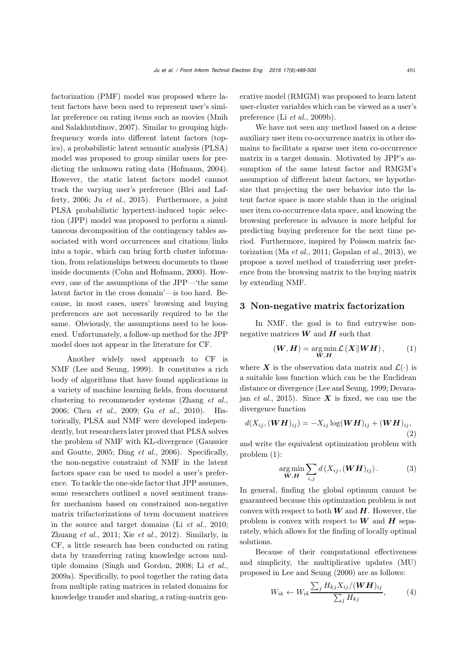factorization (PMF) model was proposed where latent factors have been used to represent user's similar preference on r[ating](#page-9-0) [items](#page-9-0) [such](#page-9-0) [as](#page-9-0) [movies](#page-9-0) [\(](#page-9-0)Mnih and Salakhutdinov, [2007](#page-9-0)). Similar to grouping highfrequency words into different latent factors (topics), a probabilistic latent semantic analysis (PLSA) model was proposed to group similar users for predicting the unknown rating data [\(Hofmann, 2004\)](#page-9-10). However, the static latent factors model cannot trac[k](#page-9-11) [the](#page-9-11) [varying](#page-9-11) [user's](#page-9-11) [preference](#page-9-11) [\(](#page-9-11)Blei and Lafferty, [2006;](#page-9-11) Ju *[et al.](#page-9-12)*, [2015\)](#page-9-12). Furthermore, a joint PLSA probabilistic hypertext-induced topic selection (JPP) model was proposed to perform a simultaneous decomposition of the contingency tables associated with word occurrences and citations/links into a topic, which can bring forth cluster information, from relationships between documents to those inside documents [\(Cohn and Hofmann](#page-9-13), [2000\)](#page-9-13). However, one of the assumptions of the JPP—'the same latent factor in the cross domain'—is too hard. Because, in most cases, users' browsing and buying preferences are not necessarily required to be the same. Obviously, the assumptions need to be loosened. Unfortunately, a follow-up method for the JPP model does not appear in the literature for CF.

Another widely used approach to CF is NMF [\(Lee and Seung, 1999](#page-9-14)). It constitutes a rich body of algorithms that have found applications in a variety of machine learning fields, from document clustering to recommender systems [\(Zhang](#page-10-0) *et al.*, [2006](#page-10-0); [Chen](#page-9-15) *et al.*, [2009](#page-9-15); Gu *[et al.](#page-9-16)*, [2010](#page-9-16)). Historically, PLSA and NMF were developed independently, but researchers later proved that PLSA solves the proble[m](#page-9-17) [of](#page-9-17) [NMF](#page-9-17) [with](#page-9-17) [KL-divergence](#page-9-17) [\(](#page-9-17)Gaussier and Goutte, [2005](#page-9-17); Ding *[et al.](#page-9-18)*, [2006](#page-9-18)). Specifically, the non-negative constraint of NMF in the latent factors space can be used to model a user's preference. To tackle the one-side factor that JPP assumes, some researchers outlined a novel sentiment transfer mechanism based on constrained non-negative matrix trifactorizations of term document matrices in the source and target domains (Li *[et al.](#page-9-19)*, [2010;](#page-9-19) [Zhuang](#page-10-1) *et al.*, [2011](#page-10-1); Xie *[et al.](#page-10-2)*, [2012](#page-10-2)). Similarly, in CF, a little research has been conducted on rating data by transferring rating knowledge across multiple domains [\(Singh and Gordon](#page-10-3), [2008](#page-10-3); Li *[et al.](#page-9-20)*, [2009a](#page-9-20)). Specifically, to pool together the rating data from multiple rating matrices in related domains for knowledge transfer and sharing, a rating-matrix generative model (RMGM) was proposed to learn latent user-cluster variables which can be viewed as a user's preference (Li *[et al.](#page-9-21)*, [2009b\)](#page-9-21).

We have not seen any method based on a dense auxiliary user item co-occurrence matrix in other domains to facilitate a sparse user item co-occurrence matrix in a target domain. Motivated by JPP's assumption of the same latent factor and RMGM's assumption of different latent factors, we hypothesize that projecting the user behavior into the latent factor space is more stable than in the original user item co-occurrence data space, and knowing the browsing preference in advance is more helpful for predicting buying preference for the next time period. Furthermore, inspired by Poisson matrix factorization (Ma *[et al.](#page-9-22)*, [2011;](#page-9-22) [Gopalan](#page-9-23) *et al.*, [2013\)](#page-9-23), we propose a novel method of transferring user preference from the browsing matrix to the buying matrix by extending NMF.

## 3 Non-negative matrix factorization

In NMF, the goal is to find entrywise nonnegative matrices  $W$  and  $H$  such that

$$
(\boldsymbol{W}, \boldsymbol{H}) = \underset{\boldsymbol{W}, \boldsymbol{H}}{\arg \min} \mathcal{L}(\boldsymbol{X} \| \boldsymbol{W} \boldsymbol{H}), \qquad (1)
$$

where X is the observation data matrix and  $\mathcal{L}(\cdot)$  is a suitable loss function which can be the Euclidean distance [or](#page-9-24) [divergence](#page-9-24) [\(Lee and Seung](#page-9-14)[,](#page-9-24) [1999;](#page-9-14) Devarajan *et al.*, [2015\)](#page-9-24). Since  $\boldsymbol{X}$  is fixed, we can use the divergence function

<span id="page-2-0"></span>
$$
d(X_{ij}, (\boldsymbol{W}\boldsymbol{H})_{ij}) = -X_{ij} \log(\boldsymbol{W}\boldsymbol{H})_{ij} + (\boldsymbol{W}\boldsymbol{H})_{ij},
$$
\n(2)

and write the equivalent optimization problem with problem (1):

$$
\underset{\mathbf{W}, \mathbf{H}}{\arg \min} \sum_{i,j} d\left(X_{ij}, (\mathbf{W} \mathbf{H})_{ij}\right). \tag{3}
$$

In general, finding the global optimum cannot be guaranteed because this optimization problem is not convex with respect to both  $W$  and  $H$ . However, the problem is convex with respect to *W* and *H* separately, which allows for the finding of locally optimal solutions.

Because of their computational effectiveness and simplicity, the multiplicative updates (MU) proposed in [Lee and Seung](#page-9-25) [\(2000\)](#page-9-25) are as follows:

$$
W_{ik} \leftarrow W_{ik} \frac{\sum_{j} H_{kj} X_{ij} / (\mathbf{W} \mathbf{H})_{ij}}{\sum_{j} H_{kj}}, \tag{4}
$$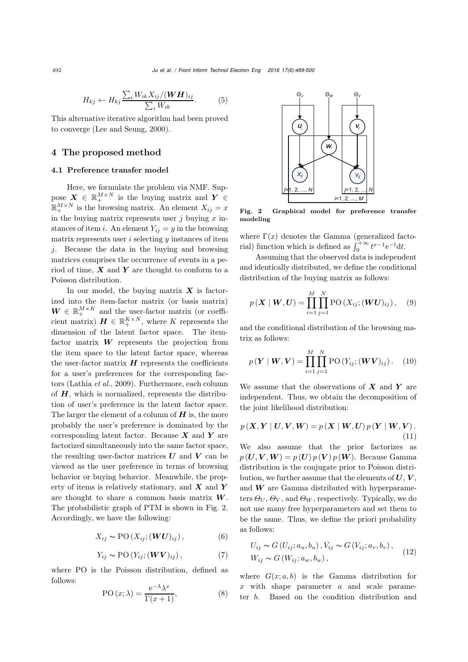$$
H_{kj} \leftarrow H_{kj} \frac{\sum_{i} W_{ik} X_{ij} / (\boldsymbol{W} \boldsymbol{H})_{ij}}{\sum_{i} W_{ik}}.
$$
 (5)

This alternative iterative algorithm had been proved to converge [\(Lee and Seung](#page-9-25), [2000](#page-9-25)).

## 4 The proposed method

#### 4.1 Preference transfer model

Here, we formulate the problem via NMF. Suppose  $\boldsymbol{X} \in \mathbb{R}_+^{M \times N}$  is the buying matrix and  $\boldsymbol{Y} \in$  $\mathbb{R}_+^{M \times N}$  is the browsing matrix. An element  $X_{ij} = x$ in the buying matrix represents user  $j$  buying  $x$  instances of item i. An element  $Y_{ij} = y$  in the browsing matrix represents user  $i$  selecting  $y$  instances of item j. Because the data in the buying and browsing matrices comprises the occurrence of events in a period of time, *X* and *Y* are thought to conform to a Poisson distribution.

In our model, the buying matrix  $\boldsymbol{X}$  is factorized into the item-factor matrix (or basis matrix)  $W \in \mathbb{R}_+^{M \times K}$  and the user-factor matrix (or coefficient matrix)  $\boldsymbol{H} \in \mathbb{R}_+^{K \times N}$ , where K represents the dimension of the latent factor space. The itemfactor matrix  $W$  represents the projection from the item space to the latent factor space, whereas the user-factor matrix  $H$  represents the coefficients for a user's preferences for the corresponding factors [\(Lathia](#page-9-26) *et al.*, [2009](#page-9-26)). Furthermore, each column of *H*, which is normalized, represents the distribution of user's preference in the latent factor space. The larger the element of a column of *H* is, the more probably the user's preference is dominated by the corresponding latent factor. Because *X* and *Y* are factorized simultaneously into the same factor space, the resulting user-factor matrices  $U$  and  $V$  can be viewed as the user preference in terms of browsing behavior or buying behavior. Meanwhile, the property of items is relatively stationary, and *X* and *Y* are thought to share a common basis matrix *W*. The probabilistic graph of PTM is shown in Fig. [2.](#page-3-0) Accordingly, we have the following:

$$
X_{ij} \sim \text{PO}\left(X_{ij}; (\boldsymbol{W}\boldsymbol{U})_{ij}\right),\tag{6}
$$

$$
Y_{ij} \sim \text{PO}\left(Y_{ij}; (\boldsymbol{W}\boldsymbol{V})_{ij}\right),\tag{7}
$$

where PO is the Poisson distribution, defined as follows:

$$
PO(x; \lambda) = \frac{e^{-\lambda}\lambda^x}{\Gamma(x+1)},
$$
\n(8)



<span id="page-3-0"></span>Fig. 2 Graphical model for preference transfer modeling

where  $\Gamma(x)$  denotes the Gamma (generalized factorial) function which is defined as  $\int_0^{+\infty} t^{x-1} e^{-t} dt$ .

Assuming that the observed data is independent and identically distributed, we define the conditional distribution of the buying matrix as follows:

<span id="page-3-1"></span>
$$
p(\mathbf{X} | \mathbf{W}, \mathbf{U}) = \prod_{i=1}^{M} \prod_{j=1}^{N} \text{PO}(X_{ij}; (\mathbf{W}\mathbf{U})_{ij}),
$$
 (9)

and the conditional distribution of the browsing matrix as follows:

<span id="page-3-2"></span>
$$
p(\boldsymbol{Y} | \boldsymbol{W}, \boldsymbol{V}) = \prod_{i=1}^{M} \prod_{j=1}^{N} \text{PO}(Y_{ij}; (\boldsymbol{W}\boldsymbol{V})_{ij}).
$$
 (10)

We assume that the observations of *X* and *Y* are independent. Thus, we obtain the decomposition of the joint likelihood distribution:

$$
p(X, Y | U, V, W) = p(X | W, U) p(Y | W, V).
$$
\n(11)

We also assume that the prior factorizes as  $p(U, V, W) = p(U) p(V) p(W)$ . Because Gamma distribution is the conjugate prior to Poisson distribution, we further assume that the elements of  $U, V$ , and  $W$  are Gamma distributed with hyperparameters  $\Theta_U$ ,  $\Theta_V$ , and  $\Theta_W$ , respectively. Typically, we do not use many free hyperparameters and set them to be the same. Thus, we define the priori probability as follows:

<span id="page-3-3"></span>
$$
U_{ij} \sim G(U_{ij}; a_u, b_u), V_{ij} \sim G(V_{ij}; a_v, b_v),
$$
  
\n
$$
W_{ij} \sim G(W_{ij}; a_w, b_w),
$$
\n
$$
(12)
$$

where  $G(x; a, b)$  is the Gamma distribution for  $x$  with shape parameter  $a$  and scale parameter b. Based on the condition distribution and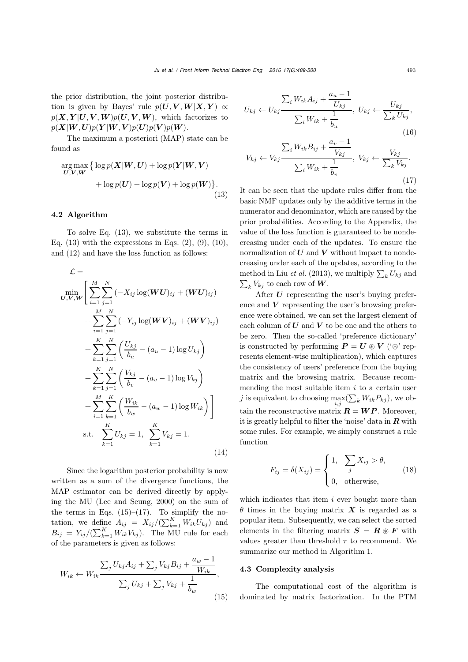the prior distribution, the joint posterior distribution is given by Bayes' rule  $p(U, V, W|X, Y) \propto$  $p(X, Y|U, V, W)p(U, V, W)$ , which factorizes to  $p(X|W,U)p(Y|W,V)p(U)p(V)p(W).$ 

The maximum a posteriori (MAP) state can be found as

<span id="page-4-0"></span>
$$
\arg\max_{\mathbf{U},\mathbf{V},\mathbf{W}} \left\{ \log p(\mathbf{X}|\mathbf{W},\mathbf{U}) + \log p(\mathbf{Y}|\mathbf{W},\mathbf{V}) + \log p(\mathbf{U}) + \log p(\mathbf{U}) + \log p(\mathbf{W}) \right\}.
$$
\n(13)

#### 4.2 Algorithm

To solve Eq. [\(13\)](#page-4-0), we substitute the terms in Eq.  $(13)$  with the expressions in Eqs.  $(2)$ ,  $(9)$ ,  $(10)$ , and [\(12\)](#page-3-3) and have the loss function as follows:

<span id="page-4-4"></span>
$$
\mathcal{L} = \n\min_{\mathbf{U}, \mathbf{V}, \mathbf{W}} \left[ \sum_{i=1}^{M} \sum_{j=1}^{N} \left( -X_{ij} \log(\mathbf{W} \mathbf{U})_{ij} + (\mathbf{W} \mathbf{U})_{ij} \right) \right. \\
\left. + \sum_{i=1}^{M} \sum_{j=1}^{N} \left( -Y_{ij} \log(\mathbf{W} \mathbf{V})_{ij} + (\mathbf{W} \mathbf{V})_{ij} \right) \right. \\
\left. + \sum_{k=1}^{K} \sum_{j=1}^{N} \left( \frac{U_{kj}}{b_u} - (a_u - 1) \log U_{kj} \right) \right. \\
\left. + \sum_{k=1}^{K} \sum_{j=1}^{N} \left( \frac{V_{kj}}{b_v} - (a_v - 1) \log V_{kj} \right) \right. \\
\left. + \sum_{i=1}^{M} \sum_{k=1}^{K} \left( \frac{W_{ik}}{b_w} - (a_w - 1) \log W_{ik} \right) \right] \n\text{s.t.} \sum_{k=1}^{K} U_{kj} = 1, \sum_{k=1}^{K} V_{kj} = 1.
$$
\n(14)

Since the logarithm posterior probability is now written as a sum of the divergence functions, the MAP estimator can be derived directly by applying the MU [\(Lee and Seung, 2000](#page-9-25)) on the sum of the terms in Eqs.  $(15)-(17)$  $(15)-(17)$  $(15)-(17)$ . To simplify the notation, we define  $A_{ij} = X_{ij}/(\sum_{k=1}^{K} W_{ik} U_{kj})$  and  $B_{ij} = Y_{ij}/(\sum_{k=1}^{K} W_{ik} V_{kj})$ . The MU rule for each of the parameters is given as follows:

<span id="page-4-1"></span>
$$
W_{ik} \leftarrow W_{ik} \frac{\sum_{j} U_{kj} A_{ij} + \sum_{j} V_{kj} B_{ij} + \frac{a_w - 1}{W_{ik}}}{\sum_{j} U_{kj} + \sum_{j} V_{kj} + \frac{1}{b_w}},
$$
\n(15)

<span id="page-4-3"></span>
$$
U_{kj} \leftarrow U_{kj} \frac{\sum_{i} W_{ik} A_{ij} + \frac{a_u - 1}{U_{kj}}}{\sum_{i} W_{ik} + \frac{1}{b_u}}, \ U_{kj} \leftarrow \frac{U_{kj}}{\sum_{k} U_{kj}},
$$
\n(16)

<span id="page-4-2"></span>
$$
V_{kj} \leftarrow V_{kj} \frac{\sum_{i} W_{ik} B_{ij} + \frac{a_v - 1}{V_{kj}}}{\sum_{i} W_{ik} + \frac{1}{b_v}}, \ V_{kj} \leftarrow \frac{V_{kj}}{\sum_{k} V_{kj}}.
$$
\n(17)

It can be seen that the update rules differ from the basic NMF updates only by the additive terms in the numerator and denominator, which are caused by the prior probabilities. According to the Appendix, the value of the loss function is guaranteed to be nondecreasing under each of the updates. To ensure the normalization of *U* and *V* without impact to nondecreasing under each of the updates, according to the method in Liu *[et al.](#page-9-27)* [\(2013\)](#page-9-27), we multiply  $\sum_{k} U_{kj}$  and  $\sum_k V_{kj}$  to each row of **W**.

After *U* representing the user's buying preference and  $V$  representing the user's browsing preference were obtained, we can set the largest element of each column of  $U$  and  $V$  to be one and the others to be zero. Then the so-called 'preference dictionary' is constructed by performing  $P = U \circledast V$  (' $\circledast$ ' represents element-wise multiplication), which captures the consistency of users' preference from the buying matrix and the browsing matrix. Because recommending the most suitable item  $i$  to a certain user j is equivalent to choosing  $\max_{i,j}(\sum_k W_{ik}P_{kj})$ , we obtain the reconstructive matrix  $\mathbf{R} = \mathbf{W}\mathbf{P}$ . Moreover, it is greatly helpful to filter the 'noise' data in *R* with some rules. For example, we simply construct a rule function

$$
F_{ij} = \delta(X_{ij}) = \begin{cases} 1, & \sum_{j} X_{ij} > \theta, \\ 0, & \text{otherwise,} \end{cases}
$$
 (18)

which indicates that item  $i$  ever bought more than  $\theta$  times in the buying matrix *X* is regarded as a popular item. Subsequently, we can select the sorted elements in the filtering matrix  $S = R \otimes F$  with values greater than threshold  $\tau$  to recommend. We summarize our method in Algorithm [1.](#page-5-0)

#### 4.3 Complexity analysis

The computational cost of the algorithm is dominated by matrix factorization. In the PTM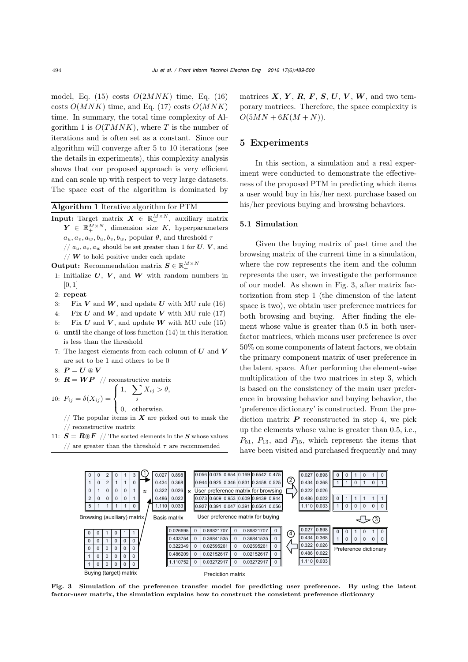model, Eq.  $(15)$  costs  $O(2MNK)$  time, Eq.  $(16)$ costs  $O(MNK)$  time, and Eq. [\(17\)](#page-4-2) costs  $O(MNK)$ time. In summary, the total time complexity of Algorithm 1 is  $O(TMNK)$ , where T is the number of iterations and is often set as a constant. Since our algorithm will converge after 5 to 10 iterations (see the details in experiments), this complexity analysis shows that our proposed approach is very efficient and can scale up with respect to very large datasets. The space cost of the algorithm is dominated by

Algorithm 1 Iterative algorithm for PTM

- **Input:** Target matrix  $\mathbf{X} \in \mathbb{R}_+^{M \times N}$ , auxiliary matrix  $Y \in \mathbb{R}_+^{M \times N}$ , dimension size K, hyperparameters  $a_u, a_v, a_w, b_u, b_v, b_w$ , popular  $\theta$ , and threshold  $\tau$ 
	- //  $a_u, a_v, a_w$  should be set greater than 1 for *U*, *V*, and // *W* to hold positive under each update

Output: Recommendation matrix  $S \in \mathbb{R}_+^{M \times N}$ 

- 1: Initialize  $U, V$ , and  $W$  with random numbers in  $[0, 1]$
- 2: repeat
- 3: Fix  $V$  and  $W$ , and update  $U$  with MU rule [\(16\)](#page-4-3)
- 4: Fix  $U$  and  $W$ , and update  $V$  with MU rule [\(17\)](#page-4-2)
- 5: Fix  $U$  and  $V$ , and update  $W$  with MU rule [\(15\)](#page-4-1)
- 6: until the change of loss function [\(14\)](#page-4-4) in this iteration is less than the threshold
- 7: The largest elements from each column of *U* and *V* are set to be 1 and others to be 0

$$
8{:}~\mathbf{P}=\mathbf{U}\circledast\mathbf{V}
$$

9: 
$$
\mathbf{R} = \mathbf{WP}
$$
 // reconstructive matrix  
\n0.  $\mathbf{E}_{ii} = \delta(X_{ii}) = \begin{cases} 1, & \sum_{i} X_{ij} > \theta, \\ 0. & \text{if } i \leq j \end{cases}$ 

10:  $F_{ij} = \delta(X_{ij}) =$  $\mathbf{I}$ *j* 0, otherwise.

<span id="page-5-0"></span>// The popular items in *X* are picked out to mask the // reconstructive matrix

11:  $S = R \otimes F$  // The sorted elements in the *S* whose values // are greater than the threshold  $\tau$  are recommended

matrices  $X, Y, R, F, S, U, V, W$ , and two temporary matrices. Therefore, the space complexity is  $O(5MN + 6K(M + N)).$ 

## 5 Experiments

In this section, a simulation and a real experiment were conducted to demonstrate the effectiveness of the proposed PTM in predicting which items a user would buy in his/her next purchase based on his/her previous buying and browsing behaviors.

#### 5.1 Simulation

Given the buying matrix of past time and the browsing matrix of the current time in a simulation, where the row represents the item and the column represents the user, we investigate the performance of our model. As shown in Fig. [3,](#page-5-1) after matrix factorization from step 1 (the dimension of the latent space is two), we obtain user preference matrices for both browsing and buying. After finding the element whose value is greater than 0.5 in both userfactor matrices, which means user preference is over 50% on some components of latent factors, we obtain the primary component matrix of user preference in the latent space. After performing the element-wise multiplication of the two matrices in step 3, which is based on the consistency of the main user preference in browsing behavior and buying behavior, the 'preference dictionary' is constructed. From the prediction matrix  $P$  reconstructed in step 4, we pick up the elements whose value is greater than 0.5, i.e.,  $P_{51}$ ,  $P_{13}$ , and  $P_{15}$ , which represent the items that have been visited and purchased frequently and may



<span id="page-5-1"></span>Fig. 3 Simulation of the preference transfer model for predicting user preference. By using the latent factor-user matrix, the simulation explains how to construct the consistent preference dictionary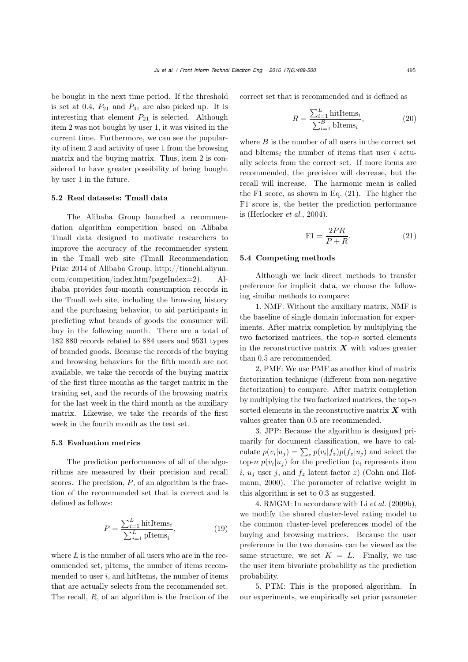be bought in the next time period. If the threshold is set at 0.4,  $P_{21}$  and  $P_{41}$  are also picked up. It is interesting that element  $P_{21}$  is selected. Although item 2 was not bought by user 1, it was visited in the current time. Furthermore, we can see the popularity of item 2 and activity of user 1 from the browsing matrix and the buying matrix. Thus, item 2 is considered to have greater possibility of being bought by user 1 in the future.

#### 5.2 Real datasets: Tmall data

The Alibaba Group launched a recommendation algorithm competition based on Alibaba Tmall data designed to motivate researchers to improve the accuracy of the recommender system in the Tmall web site (Tmall Recommendation Prize 2014 of Alibaba Group, [http://tianchi.aliyun.](http://tianchi.aliyun.com/competition/index.htm?pageIndex=2) [com/competition/index.htm?pageIndex=2\)](http://tianchi.aliyun.com/competition/index.htm?pageIndex=2). Alibaba provides four-month consumption records in the Tmall web site, including the browsing history and the purchasing behavior, to aid participants in predicting what brands of goods the consumer will buy in the following month. There are a total of 182 880 records related to 884 users and 9531 types of branded goods. Because the records of the buying and browsing behaviors for the fifth month are not available, we take the records of the buying matrix of the first three months as the target matrix in the training set, and the records of the browsing matrix for the last week in the third month as the auxiliary matrix. Likewise, we take the records of the first week in the fourth month as the test set.

#### 5.3 Evaluation metrics

The prediction performances of all of the algorithms are measured by their precision and recall scores. The precision,  $P$ , of an algorithm is the fraction of the recommended set that is correct and is defined as follows:

$$
P = \frac{\sum_{i=1}^{L} \text{hitItems}_i}{\sum_{i=1}^{L} \text{ptems}_i},\tag{19}
$$

where  $L$  is the number of all users who are in the recommended set, pItems, the number of items recommended to user i, and hitItems<sub>i</sub> the number of items that are actually selects from the recommended set. The recall,  $R$ , of an algorithm is the fraction of the correct set that is recommended and is defined as

$$
R = \frac{\sum_{i=1}^{L} \text{hitItems}_i}{\sum_{i=1}^{B} \text{btems}_i},\tag{20}
$$

where  $B$  is the number of all users in the correct set and bItems, the number of items that user  $i$  actually selects from the correct set. If more items are recommended, the precision will decrease, but the recall will increase. The harmonic mean is called the F1 score, as shown in Eq. [\(21\)](#page-6-0). The higher the F1 score is, the better the prediction performance is [\(Herlocker](#page-9-28) *et al.*, [2004](#page-9-28)).

<span id="page-6-0"></span>
$$
F1 = \frac{2PR}{P + R}.\tag{21}
$$

#### 5.4 Competing methods

Although we lack direct methods to transfer preference for implicit data, we choose the following similar methods to compare:

1. NMF: Without the auxiliary matrix, NMF is the baseline of single domain information for experiments. After matrix completion by multiplying the two factorized matrices, the top- $n$  sorted elements in the reconstructive matrix  $\boldsymbol{X}$  with values greater than 0.5 are recommended.

2. PMF: We use PMF as another kind of matrix factorization technique (different from non-negative factorization) to compare. After matrix completion by multiplying the two factorized matrices, the top- $n$ sorted elements in the reconstructive matrix *X* with values greater than 0.5 are recommended.

3. JPP: Because the algorithm is designed primarily for document classification, we have to calculate  $p(v_i|u_j) = \sum_z p(v_i|f_z)p(f_z|u_j)$  and select the top-n  $p(v_i|u_i)$  for the prediction  $(v_i)$  represents item i,  $u_j$  user j, and  $f_z$  [latent](#page-9-13) [factor](#page-9-13) z) (Cohn and Hofmann, [2000\)](#page-9-13). The parameter of relative weight in this algorithm is set to 0.3 as suggested.

4. RMGM: In accordance with Li *[et al.](#page-9-21)* [\(2009b\)](#page-9-21), we modify the shared cluster-level rating model to the common cluster-level preferences model of the buying and browsing matrices. Because the user preference in the two domains can be viewed as the same structure, we set  $K = L$ . Finally, we use the user item bivariate probability as the prediction probability.

5. PTM: This is the proposed algorithm. In our experiments, we empirically set prior parameter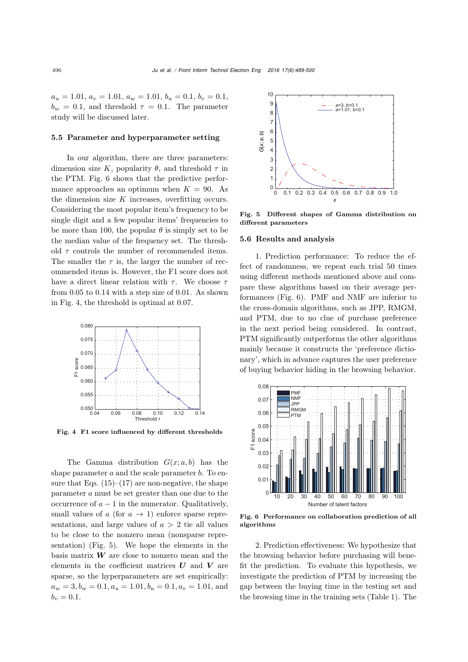$a_u = 1.01, a_v = 1.01, a_w = 1.01, b_u = 0.1, b_v = 0.1,$  $b_w = 0.1$ , and threshold  $\tau = 0.1$ . The parameter study will be discussed later.

#### 5.5 Parameter and hyperparameter setting

In our algorithm, there are three parameters: dimension size K, popularity  $\theta$ , and threshold  $\tau$  in the PTM. Fig. [6](#page-7-0) shows that the predictive performance approaches an optimum when  $K = 90$ . As the dimension size  $K$  increases, overfitting occurs. Considering the most popular item's frequency to be single digit and a few popular items' frequencies to be more than 100, the popular  $\theta$  is simply set to be the median value of the frequency set. The threshold  $\tau$  controls the number of recommended items. The smaller the  $\tau$  is, the larger the number of recommended items is. However, the F1 score does not have a direct linear relation with  $\tau$ . We choose  $\tau$ from 0.05 to 0.14 with a step size of 0.01. As shown in Fig. [4,](#page-7-1) the threshold is optimal at 0.07.



<span id="page-7-1"></span>Fig. 4 F1 score influenced by different thresholds

The Gamma distribution  $G(x; a, b)$  has the shape parameter  $a$  and the scale parameter  $b$ . To ensure that Eqs.  $(15)$ – $(17)$  are non-negative, the shape parameter a must be set greater than one due to the occurrence of  $a - 1$  in the numerator. Qualitatively, small values of a (for  $a \rightarrow 1$ ) enforce sparse representations, and large values of  $a > 2$  tie all values to be close to the nonzero mean (nonsparse representation) (Fig. [5\)](#page-7-2). We hope the elements in the basis matrix *W* are close to nonzero mean and the elements in the coefficient matrices *U* and *V* are sparse, so the hyperparameters are set empirically:  $a_w = 3, b_w = 0.1, a_u = 1.01, b_u = 0.1, a_v = 1.01, \text{and}$  $b_v = 0.1$ .



<span id="page-7-2"></span>Fig. 5 Different shapes of Gamma distribution on different parameters

#### 5.6 Results and analysis

1. Prediction performance: To reduce the effect of randomness, we repeat each trial 50 times using different methods mentioned above and compare these algorithms based on their average performances (Fig. [6\)](#page-7-0). PMF and NMF are inferior to the cross-domain algorithms, such as JPP, RMGM, and PTM, due to no clue of purchase preference in the next period being considered. In contrast, PTM significantly outperforms the other algorithms mainly because it constructs the 'preference dictionary', which in advance captures the user preference of buying behavior hiding in the browsing behavior.



<span id="page-7-0"></span>Fig. 6 Performance on collaboration prediction of all algorithms

2. Prediction effectiveness: We hypothesize that the browsing behavior before purchasing will benefit the prediction. To evaluate this hypothesis, we investigate the prediction of PTM by increasing the gap between the buying time in the testing set and the browsing time in the training sets (Table [1\)](#page-8-0). The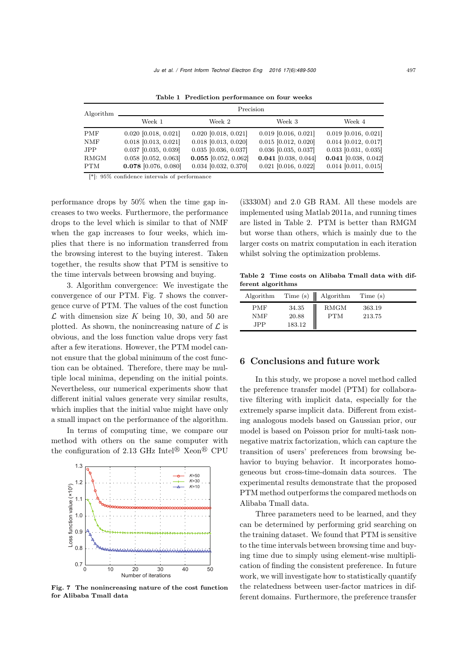| Algorithm                        | Precision                                                                                                                      |                                                                                                                                |                                                                                                                                |                                                                                                                                |  |
|----------------------------------|--------------------------------------------------------------------------------------------------------------------------------|--------------------------------------------------------------------------------------------------------------------------------|--------------------------------------------------------------------------------------------------------------------------------|--------------------------------------------------------------------------------------------------------------------------------|--|
|                                  | Week 1                                                                                                                         | Week 2                                                                                                                         | Week 3                                                                                                                         | Week 4                                                                                                                         |  |
| PMF<br>NMF<br>JPP<br>RMGM<br>PTM | $0.020$ [0.018, 0.021]<br>$0.018$ [0.013, 0.021]<br>$0.037$ [0.035, 0.039]<br>$0.058$ [0.052, 0.063]<br>$0.078$ [0.076, 0.080] | $0.020$ [0.018, 0.021]<br>$0.018$ [0.013, 0.020]<br>$0.035$ [0.036, 0.037]<br>$0.055$ [0.052, 0.062]<br>$0.034$ [0.032, 0.370] | $0.019$ [0.016, 0.021]<br>$0.015$ [0.012, 0.020]<br>$0.036$ [0.035, 0.037]<br>$0.041$ [0.038, 0.044]<br>$0.021$ [0.016, 0.022] | $0.019$ [0.016, 0.021]<br>$0.014$ [0.012, 0.017]<br>$0.033$ [0.031, 0.035]<br>$0.041$ [0.038, 0.042]<br>$0.014$ [0.011, 0.015] |  |

<span id="page-8-0"></span>Table 1 Prediction performance on four weeks

[\*]: 95% confidence intervals of performance

performance drops by 50% when the time gap increases to two weeks. Furthermore, the performance drops to the level which is similar to that of NMF when the gap increases to four weeks, which implies that there is no information transferred from the browsing interest to the buying interest. Taken together, the results show that PTM is sensitive to the time intervals between browsing and buying.

3. Algorithm convergence: We investigate the convergence of our PTM. Fig. [7](#page-8-1) shows the convergence curve of PTM. The values of the cost function  $\mathcal L$  with dimension size K being 10, 30, and 50 are plotted. As shown, the nonincreasing nature of  $\mathcal L$  is obvious, and the loss function value drops very fast after a few iterations. However, the PTM model cannot ensure that the global minimum of the cost function can be obtained. Therefore, there may be multiple local minima, depending on the initial points. Nevertheless, our numerical experiments show that different initial values generate very similar results, which implies that the initial value might have only a small impact on the performance of the algorithm.

In terms of computing time, we compare our method with others on the same computer with the configuration of 2.13 GHz Intel<sup>®</sup> Xeon<sup>®</sup> CPU



<span id="page-8-1"></span>Fig. 7 The nonincreasing nature of the cost function for Alibaba Tmall data

(i3330M) and 2.0 GB RAM. All these models are implemented using Matlab 2011a, and running times are listed in Table [2.](#page-8-2) PTM is better than RMGM but worse than others, which is mainly due to the larger costs on matrix computation in each iteration whilst solving the optimization problems.

<span id="page-8-2"></span>Table 2 Time costs on Alibaba Tmall data with different algorithms

| Algorithm                        |                                                         | Time (s) Algorithm | Time (s)         |  |
|----------------------------------|---------------------------------------------------------|--------------------|------------------|--|
| <b>PMF</b><br><b>NMF</b><br>JPP. | $\begin{array}{c} 34.35 \\ 20.88 \\ 183.12 \end{array}$ | RMGM<br><b>PTM</b> | 363.19<br>213.75 |  |

## 6 Conclusions and future work

In this study, we propose a novel method called the preference transfer model (PTM) for collaborative filtering with implicit data, especially for the extremely sparse implicit data. Different from existing analogous models based on Gaussian prior, our model is based on Poisson prior for multi-task nonnegative matrix factorization, which can capture the transition of users' preferences from browsing behavior to buying behavior. It incorporates homogeneous but cross-time-domain data sources. The experimental results demonstrate that the proposed PTM method outperforms the compared methods on Alibaba Tmall data.

Three parameters need to be learned, and they can be determined by performing grid searching on the training dataset. We found that PTM is sensitive to the time intervals between browsing time and buying time due to simply using element-wise multiplication of finding the consistent preference. In future work, we will investigate how to statistically quantify the relatedness between user-factor matrices in different domains. Furthermore, the preference transfer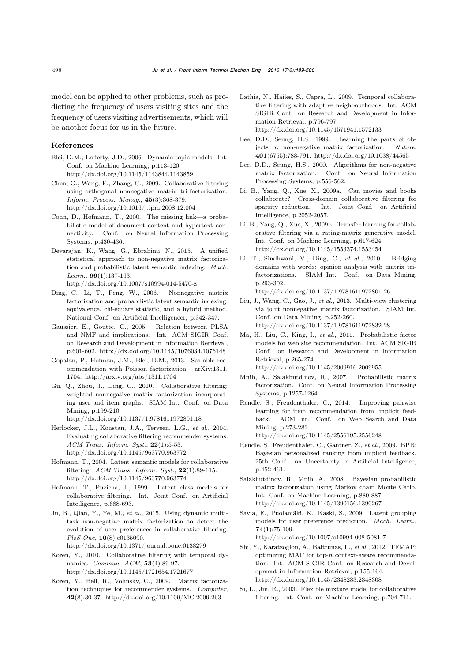model can be applied to other problems, such as predicting the frequency of users visiting sites and the frequency of users visiting advertisements, which will be another focus for us in the future.

#### References

- <span id="page-9-11"></span>Blei, D.M., Lafferty, J.D., 2006. Dynamic topic models. Int. Conf. on Machine Learning, p.113-120. http://dx.doi.org/10.1145/1143844.1143859
- <span id="page-9-15"></span>Chen, G., Wang, F., Zhang, C., 2009. Collaborative filtering using orthogonal nonnegative matrix tri-factorization. *Inform. Process. Manag.*, 45(3):368-379. http://dx.doi.org/10.1016/j.ipm.2008.12.004
- <span id="page-9-13"></span>Cohn, D., Hofmann, T., 2000. The missing link—a probabilistic model of document content and hypertext connectivity. Conf. on Neural Information Processing Systems, p.430-436.
- <span id="page-9-24"></span>Devarajan, K., Wang, G., Ebrahimi, N., 2015. A unified statistical approach to non-negative matrix factorization and probabilistic latent semantic indexing. *Mach. Learn.*, 99(1):137-163.
	- http://dx.doi.org/10.1007/s10994-014-5470-z
- <span id="page-9-18"></span>Ding, C., Li, T., Peng, W., 2006. Nonnegative matrix factorization and probabilistic latent semantic indexing: equivalence, chi-square statistic, and a hybrid method. National Conf. on Artificial Intelligencer, p.342-347.
- <span id="page-9-17"></span>Gaussier, E., Goutte, C., 2005. Relation between PLSA and NMF and implications. Int. ACM SIGIR Conf. on Research and Development in Information Retrieval, p.601-602. http://dx.doi.org/10.1145/1076034.1076148
- <span id="page-9-23"></span>Gopalan, P., Hofman, J.M., Blei, D.M., 2013. Scalable recommendation with Poisson factorization. arXiv:1311. 1704. http://arxiv.org/abs/1311.1704
- <span id="page-9-16"></span>Gu, Q., Zhou, J., Ding, C., 2010. Collaborative filtering: weighted nonnegative matrix factorization incorporating user and item graphs. SIAM Int. Conf. on Data Mining, p.199-210.
	- http://dx.doi.org/10.1137/1.9781611972801.18
- <span id="page-9-28"></span>Herlocker, J.L., Konstan, J.A., Terveen, L.G., *et al.*, 2004. Evaluating collaborative filtering recommender systems. *ACM Trans. Inform. Syst.*, 22(1):5-53. http://dx.doi.org/10.1145/963770.963772
- <span id="page-9-10"></span>Hofmann, T., 2004. Latent semantic models for collaborative filtering. *ACM Trans. Inform. Syst.*, 22(1):89-115. http://dx.doi.org/10.1145/963770.963774
- <span id="page-9-8"></span>Hofmann, T., Puzicha, J., 1999. Latent class models for collaborative filtering. Int. Joint Conf. on Artificial Intelligence, p.688-693.
- <span id="page-9-12"></span>Ju, B., Qian, Y., Ye, M., *et al.*, 2015. Using dynamic multitask non-negative matrix factorization to detect the evolution of user preferences in collaborative filtering. *PloS One*, 10(8):e0135090. http://dx.doi.org/10.1371/journal.pone.0138279
- <span id="page-9-3"></span>Koren, Y., 2010. Collaborative filtering with temporal dynamics. *Commun. ACM*, 53(4):89-97. http://dx.doi.org/10.1145/1721654.1721677
- <span id="page-9-2"></span>Koren, Y., Bell, R., Volinsky, C., 2009. Matrix factorization techniques for recommender systems. *Computer*, 42(8):30-37. http://dx.doi.org/10.1109/MC.2009.263
- <span id="page-9-26"></span>Lathia, N., Hailes, S., Capra, L., 2009. Temporal collaborative filtering with adaptive neighbourhoods. Int. ACM SIGIR Conf. on Research and Development in Information Retrieval, p.796-797. http://dx.doi.org/10.1145/1571941.1572133
- <span id="page-9-14"></span>Lee, D.D., Seung, H.S., 1999. Learning the parts of objects by non-negative matrix factorization. *Nature*, 401(6755):788-791. http://dx.doi.org/10.1038/44565
- <span id="page-9-25"></span>Lee, D.D., Seung, H.S., 2000. Algorithms for non-negative matrix factorization. Conf. on Neural Information Processing Systems, p.556-562.
- <span id="page-9-20"></span>Li, B., Yang, Q., Xue, X., 2009a. Can movies and books collaborate? Cross-domain collaborative filtering for sparsity reduction. Int. Joint Conf. on Artificial Intelligence, p.2052-2057.
- <span id="page-9-21"></span>Li, B., Yang, Q., Xue, X., 2009b. Transfer learning for collaborative filtering via a rating-matrix generative model. Int. Conf. on Machine Learning, p.617-624. http://dx.doi.org/10.1145/1553374.1553454
- <span id="page-9-19"></span>Li, T., Sindhwani, V., Ding, C., *et al.*, 2010. Bridging domains with words: opinion analysis with matrix trifactorizations. SIAM Int. Conf. on Data Mining, p.293-302.
	- http://dx.doi.org/10.1137/1.9781611972801.26
- <span id="page-9-27"></span>Liu, J., Wang, C., Gao, J., *et al.*, 2013. Multi-view clustering via joint nonnegative matrix factorization. SIAM Int. Conf. on Data Mining, p.252-260. http://dx.doi.org/10.1137/1.9781611972832.28
- <span id="page-9-22"></span>Ma, H., Liu, C., King, I., *et al.*, 2011. Probabilistic factor models for web site recommendation. Int. ACM SIGIR Conf. on Research and Development in Information Retrieval, p.265-274. http://dx.doi.org/10.1145/2009916.2009955
- <span id="page-9-0"></span>Mnih, A., Salakhutdinov, R., 2007. Probabilistic matrix factorization. Conf. on Neural Information Processing Systems, p.1257-1264.
- <span id="page-9-6"></span>Rendle, S., Freudenthaler, C., 2014. Improving pairwise learning for item recommendation from implicit feedback. ACM Int. Conf. on Web Search and Data Mining, p.273-282. http://dx.doi.org/10.1145/2556195.2556248
- <span id="page-9-4"></span>Rendle, S., Freudenthaler, C., Gantner, Z., *et al.*, 2009. BPR: Bayesian personalized ranking from implicit feedback. 25th Conf. on Uncertainty in Artificial Intelligence, p.452-461.
- <span id="page-9-1"></span>Salakhutdinov, R., Mnih, A., 2008. Bayesian probabilistic matrix factorization using Markov chain Monte Carlo. Int. Conf. on Machine Learning, p.880-887. http://dx.doi.org/10.1145/1390156.1390267
- <span id="page-9-7"></span>Savia, E., Puolamäki, K., Kaski, S., 2009. Latent grouping models for user preference prediction. *Mach. Learn.*, 74(1):75-109.
	- http://dx.doi.org/10.1007/s10994-008-5081-7
- <span id="page-9-5"></span>Shi, Y., Karatzoglou, A., Baltrunas, L., *et al.*, 2012. TFMAP: optimizing MAP for top-*n* context-aware recommendation. Int. ACM SIGIR Conf. on Research and Development in Information Retrieval, p.155-164. http://dx.doi.org/10.1145/2348283.2348308
- <span id="page-9-9"></span>Si, L., Jin, R., 2003. Flexible mixture model for collaborative filtering. Int. Conf. on Machine Learning, p.704-711.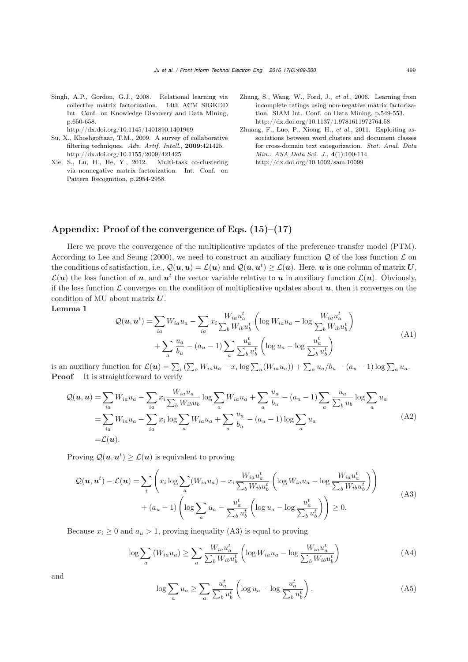<span id="page-10-3"></span>Singh, A.P., Gordon, G.J., 2008. Relational learning via collective matrix factorization. 14th ACM SIGKDD Int. Conf. on Knowledge Discovery and Data Mining, p.650-658.

http://dx.doi.org/10.1145/1401890.1401969

- Su, X., Khoshgoftaar, T.M., 2009. A survey of collaborative filtering techniques. *Adv. Artif. Intell.*, 2009:421425. http://dx.doi.org/10.1155/2009/421425
- <span id="page-10-2"></span>Xie, S., Lu, H., He, Y., 2012. Multi-task co-clustering via nonnegative matrix factorization. Int. Conf. on Pattern Recognition, p.2954-2958.
- <span id="page-10-0"></span>Zhang, S., Wang, W., Ford, J., *et al.*, 2006. Learning from incomplete ratings using non-negative matrix factorization. SIAM Int. Conf. on Data Mining, p.549-553. http://dx.doi.org/10.1137/1.9781611972764.58
- <span id="page-10-1"></span>Zhuang, F., Luo, P., Xiong, H., *et al.*, 2011. Exploiting associations between word clusters and document classes for cross-domain text categorization. *Stat. Anal. Data Min.: ASA Data Sci. J.*, 4(1):100-114. http://dx.doi.org/10.1002/sam.10099

## Appendix: Proof of the convergence of Eqs. (15)–(17)

Here we prove the convergence of the multiplicative updates of the preference transfer model (PTM). According to Lee and Seung (2000), we need to construct an auxiliary function  $\mathcal Q$  of the loss function  $\mathcal L$  on the conditions of satisfaction, i.e.,  $\mathcal{Q}(\boldsymbol{u}, \boldsymbol{u}) = \mathcal{L}(\boldsymbol{u})$  and  $\mathcal{Q}(\boldsymbol{u}, \boldsymbol{u}^t) \geq \mathcal{L}(\boldsymbol{u})$ . Here,  $\boldsymbol{u}$  is one column of matrix  $\boldsymbol{U}$ ,  $\mathcal{L}(u)$  the loss function of *u*, and  $u^t$  the vector variable relative to *u* in auxiliary function  $\mathcal{L}(u)$ . Obviously, if the loss function  $\mathcal L$  converges on the condition of multiplicative updates about  $u$ , then it converges on the condition of MU about matrix *U*.

Lemma 1

$$
\mathcal{Q}(\boldsymbol{u}, \boldsymbol{u}^t) = \sum_{ia} W_{ia} u_a - \sum_{ia} x_i \frac{W_{ia} u_a^t}{\sum_b W_{ib} u_b^t} \left( \log W_{ia} u_a - \log \frac{W_{ia} u_a^t}{\sum_b W_{ib} u_b^t} \right) + \sum_a \frac{u_a}{b_u} - (a_u - 1) \sum_a \frac{u_a^t}{\sum_b u_b^t} \left( \log u_a - \log \frac{u_a^t}{\sum_b u_b^t} \right)
$$
(A1)

is an auxiliary function for  $\mathcal{L}(\boldsymbol{u}) = \sum_i (\sum_a W_{ia} u_a - x_i \log \sum_a (W_{ia} u_a)) + \sum_a u_a / b_u - (a_u - 1) \log \sum_a u_a$ . **Proof** It is straightforward to verify

$$
Q(\boldsymbol{u}, \boldsymbol{u}) = \sum_{ia} W_{ia} u_a - \sum_{ia} x_i \frac{W_{ia} u_a}{\sum_b W_{ib} u_b} \log \sum_a W_{ia} u_a + \sum_a \frac{u_a}{b_u} - (a_u - 1) \sum_a \frac{u_a}{\sum_b u_b} \log \sum_a u_a
$$
  
= 
$$
\sum_{ia} W_{ia} u_a - \sum_{ia} x_i \log \sum_a W_{ia} u_a + \sum_a \frac{u_a}{b_u} - (a_u - 1) \log \sum_a u_a
$$
  
= 
$$
\mathcal{L}(\boldsymbol{u}).
$$
 (A2)  
(A2)

Proving  $Q(\boldsymbol{u}, \boldsymbol{u}^t) \geq \mathcal{L}(\boldsymbol{u})$  is equivalent to proving

$$
\mathcal{Q}(\boldsymbol{u}, \boldsymbol{u}^t) - \mathcal{L}(\boldsymbol{u}) = \sum_{i} \left( x_i \log \sum_{a} (W_{ia} u_a) - x_i \frac{W_{ia} u_a^t}{\sum_b W_{ib} u_b^t} \left( \log W_{ia} u_a - \log \frac{W_{ia} u_a^t}{\sum_b W_{ib} u_b^t} \right) \right) + (a_u - 1) \left( \log \sum_a u_a - \frac{u_a^t}{\sum_b u_b^t} \left( \log u_a - \log \frac{u_a^t}{\sum_b u_b^t} \right) \right) \ge 0.
$$
\n(A3)

Because  $x_i \geq 0$  and  $a_u > 1$ , proving inequality (A3) is equal to proving

$$
\log \sum_{a} \left( W_{ia} u_a \right) \ge \sum_{a} \frac{W_{ia} u_a^t}{\sum_b W_{ib} u_b^t} \left( \log W_{ia} u_a - \log \frac{W_{ia} u_a^t}{\sum_b W_{ib} u_b^t} \right) \tag{A4}
$$

and

$$
\log \sum_{a} u_a \ge \sum_{a} \frac{u_a^t}{\sum_b u_b^t} \left( \log u_a - \log \frac{u_a^t}{\sum_b u_b^t} \right). \tag{A5}
$$